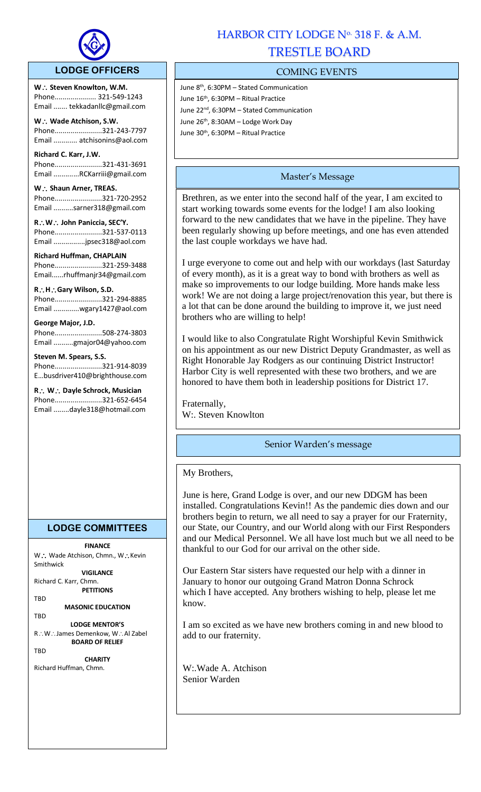

## **LODGE OFFICERS**

W.: Steven Knowlton, W.M. Phone..................... 321-549-1243 Email ....... tekkadanllc@gmail.com

l,

**W Wade Atchison, S.W.** Phone........................321-243-7797 Email ............ atchisonins@aol.com

**Richard C. Karr, J.W.**  Phone........................321-431-3691 Email .............RCKarriii@gmail.com

W.: Shaun Arner, TREAS. Phone........................321-720-2952 Email ..........sarner318@gmail.com

**RW John Paniccia, SEC'Y.** Phone........................321-537-0113 Email ................jpsec318@aol.com

**Richard Huffman, CHAPLAIN** Phone........................321-259-3488 Email......rhuffmanjr34@gmail.com

**RHGary Wilson, S.D.**  Phone........................321-294-8885 Email .............wgary1427@aol.com

#### **George Major, J.D.**

Phone........................508-274-3803 Email ..........gmajor04@yahoo.com

**Steven M. Spears, S.S.** Phone........................321-914-8039 E…busdriver410@brighthouse.com

**R W Dayle Schrock, Musician**  Phone........................321-652-6454 Email ........dayle318@hotmail.com

## **LODGE COMMITTEES**

## **FINANCE**

W∴ Wade Atchison, Chmn., W∴Kevin Smithwick

**VIGILANCE** Richard C. Karr, Chmn.

**PETITIONS** TBD

**MASONIC EDUCATION**

TBD **LODGE MENTOR'S** R∴W∴James Demenkow, W∴Al Zabel **BOARD OF RELIEF**

**TRD** 

**CHARITY** Richard Huffman, Chmn.

# HARBOR CITY LODGE Nº 318 F. & A.M. TRESTLE BOARD

## COMING EVENTS

June 8th, 6:30PM – Stated Communication June 16th, 6:30PM – Ritual Practice June 22<sup>nd</sup>, 6:30PM - Stated Communication June 26<sup>th</sup>, 8:30AM - Lodge Work Day June 30th, 6:30PM – Ritual Practice

## Master's Message

Brethren, as we enter into the second half of the year, I am excited to start working towards some events for the lodge! I am also looking forward to the new candidates that we have in the pipeline. They have been regularly showing up before meetings, and one has even attended the last couple workdays we have had.

I urge everyone to come out and help with our workdays (last Saturday of every month), as it is a great way to bond with brothers as well as make so improvements to our lodge building. More hands make less work! We are not doing a large project/renovation this year, but there is a lot that can be done around the building to improve it, we just need brothers who are willing to help!

I would like to also Congratulate Right Worshipful Kevin Smithwick on his appointment as our new District Deputy Grandmaster, as well as Right Honorable Jay Rodgers as our continuing District Instructor! Harbor City is well represented with these two brothers, and we are honored to have them both in leadership positions for District 17.

Fraternally, W:. Steven Knowlton

Senior Warden's message

## My Brothers,

June is here, Grand Lodge is over, and our new DDGM has been installed. Congratulations Kevin!! As the pandemic dies down and our brothers begin to return, we all need to say a prayer for our Fraternity, our State, our Country, and our World along with our First Responders and our Medical Personnel. We all have lost much but we all need to be thankful to our God for our arrival on the other side.

Our Eastern Star sisters have requested our help with a dinner in January to honor our outgoing Grand Matron Donna Schrock which I have accepted. Any brothers wishing to help, please let me know.

I am so excited as we have new brothers coming in and new blood to add to our fraternity.

W:.Wade A. Atchison Senior Warden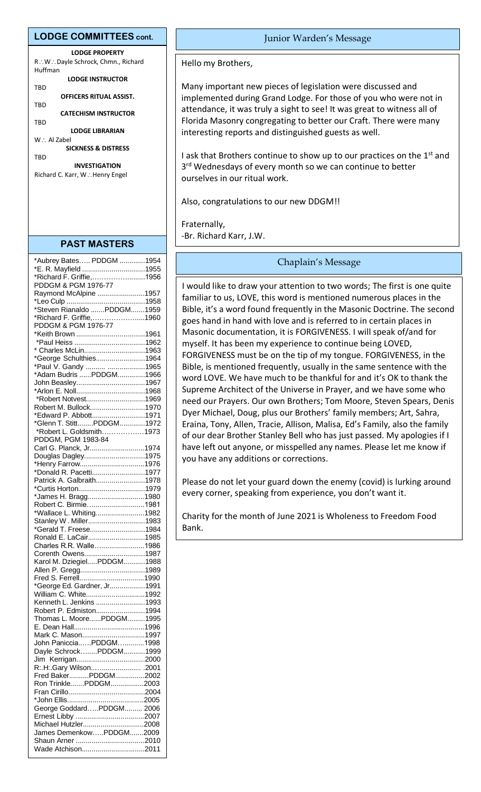#### **LODGE COMMITTEES cont.**

**LODGE PROPERTY** R∴W∴Dayle Schrock, Chmn., Richard Huffman **LODGE INSTRUCTOR** TBD **OFFICERS RITUAL ASSIST.** TBD **CATECHISM INSTRUCTOR** TBD **LODGE LIBRARIAN** W ∴ Al Zabel **SICKNESS & DISTRESS TRD** 

**INVESTIGATION** Richard C. Karr, W.: Henry Engel

#### **PAST MASTERS**

| *Aubrey Bates PDDGM 1954    |  |
|-----------------------------|--|
| *E. R. Mayfield 1955        |  |
| *Richard F. Griffie,1956    |  |
| PDDGM & PGM 1976-77         |  |
| Raymond McAlpine 1957       |  |
|                             |  |
| *Steven Rianaldo PDDGM1959  |  |
| *Richard F. Griffie,1960    |  |
| PDDGM & PGM 1976-77         |  |
|                             |  |
|                             |  |
| * Charles McLin1963         |  |
| *George Schulthies1964      |  |
| *Paul V. Gandy  1965        |  |
| *Adam Budris PDDGM1966      |  |
| John Beasley1967            |  |
|                             |  |
| *Robert Notvest1969         |  |
| Robert M. Bullock1970       |  |
| *Edward P. Abbott1971       |  |
| *Glenn T. StittPDDGM1972    |  |
| *Robert L. Goldsmith1973    |  |
| PDDGM, PGM 1983-84          |  |
| Carl G. Planck, Jr1974      |  |
| Douglas Dagley1975          |  |
| *Henry Farrow1976           |  |
| *Donald R. Pacetti1977      |  |
| Patrick A. Galbraith1978    |  |
| *Curtis Horton1979          |  |
| *James H. Bragg1980         |  |
| Robert C. Birmie1981        |  |
| *Wallace L. Whiting1982     |  |
| Stanley W. Miller1983       |  |
| *Gerald T. Freese1984       |  |
| Ronald E. LaCair1985        |  |
| Charles R.R. Walle1986      |  |
| Corenth Owens1987           |  |
| Karol M. DziegielPDDGM1988  |  |
| Allen P. Gregg1989          |  |
|                             |  |
| *George Ed. Gardner, Jr1991 |  |
| William C. White1992        |  |
| Kenneth L. Jenkins 1993     |  |
| Robert P. Edmiston1994      |  |
| Thomas L. MoorePDDGM1995    |  |
|                             |  |
| Mark C. Mason1997           |  |
| John PanicciaPDDGM1998      |  |
| Dayle SchrockPDDGM1999      |  |
| Jim                         |  |
| R:.H:.Gary Wilson .2001     |  |
| Fred BakerPDDGM2002         |  |
| Ron TrinklePDDGM2003        |  |
|                             |  |
|                             |  |
| George GoddardPDDGM 2006    |  |
|                             |  |
| Michael Hutzler2008         |  |
| James DemenkowPDDGM2009     |  |
|                             |  |
| Wade Atchison2011           |  |
|                             |  |

#### Junior Warden's Message

Hello my Brothers,

Many important new pieces of legislation were discussed and implemented during Grand Lodge. For those of you who were not in attendance, it was truly a sight to see! It was great to witness all of Florida Masonry congregating to better our Craft. There were many interesting reports and distinguished guests as well.

I ask that Brothers continue to show up to our practices on the 1<sup>st</sup> and 3<sup>rd</sup> Wednesdays of every month so we can continue to better ourselves in our ritual work.

Also, congratulations to our new DDGM!!

Fraternally,

-Br. Richard Karr, J.W.

#### Chaplain's Message

I would like to draw your attention to two words; The first is one quite familiar to us, LOVE, this word is mentioned numerous places in the Bible, it's a word found frequently in the Masonic Doctrine. The second goes hand in hand with love and is referred to in certain places in Masonic documentation, it is FORGIVENESS. I will speak of/and for myself. It has been my experience to continue being LOVED, FORGIVENESS must be on the tip of my tongue. FORGIVENESS, in the Bible, is mentioned frequently, usually in the same sentence with the word LOVE. We have much to be thankful for and it's OK to thank the Supreme Architect of the Universe in Prayer, and we have some who need our Prayers. Our own Brothers; Tom Moore, Steven Spears, Denis Dyer Michael, Doug, plus our Brothers' family members; Art, Sahra, Eraina, Tony, Allen, Tracie, Allison, Malisa, Ed's Family, also the family of our dear Brother Stanley Bell who has just passed. My apologies if I have left out anyone, or misspelled any names. Please let me know if you have any additions or corrections.

Please do not let your guard down the enemy (covid) is lurking around every corner, speaking from experience, you don't want it.

Charity for the month of June 2021 is Wholeness to Freedom Food Bank.